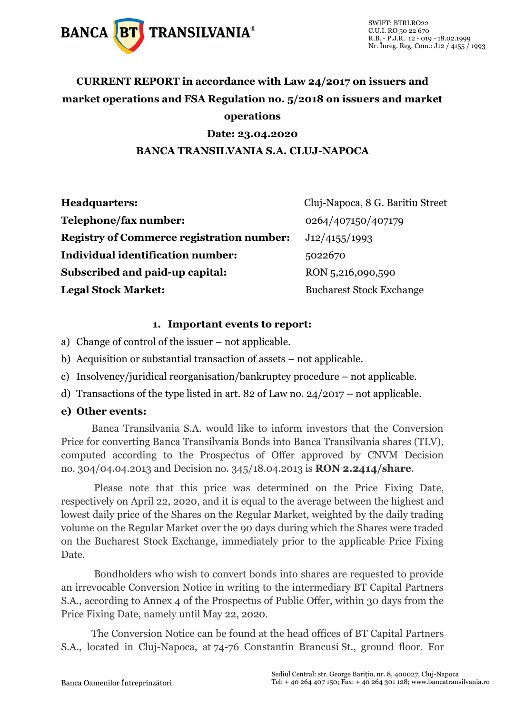

# **CURRENT REPORT in accordance with Law 24/2017 on issuers and market operations and FSA Regulation no. 5/2018 on issuers and market operations**

## **Date: 23.04.2020**

### **BANCA TRANSILVANIA S.A. CLUJ-NAPOCA**

| <b>Headquarters:</b>                             | Cluj-Napoca, 8 G. Baritiu Street |
|--------------------------------------------------|----------------------------------|
| Telephone/fax number:                            | 0264/407150/407179               |
| <b>Registry of Commerce registration number:</b> | J12/4155/1993                    |
| Individual identification number:                | 5022670                          |
| Subscribed and paid-up capital:                  | RON 5,216,090,590                |
| <b>Legal Stock Market:</b>                       | <b>Bucharest Stock Exchange</b>  |

#### **1. Important events to report:**

- a) Change of control of the issuer not applicable.
- b) Acquisition or substantial transaction of assets not applicable.
- c) Insolvency/juridical reorganisation/bankruptcy procedure not applicable.
- d) Transactions of the type listed in art. 82 of Law no. 24/2017 not applicable.

#### **e) Other events:**

Banca Transilvania S.A. would like to inform investors that the Conversion Price for converting Banca Transilvania Bonds into Banca Transilvania shares (TLV), computed according to the Prospectus of Offer approved by CNVM Decision no. 304/04.04.2013 and Decision no. 345/18.04.2013 is **RON 2.2414/share**.

Please note that this price was determined on the Price Fixing Date, respectively on April 22, 2020, and it is equal to the average between the highest and lowest daily price of the Shares on the Regular Market, weighted by the daily trading volume on the Regular Market over the 90 days during which the Shares were traded on the Bucharest Stock Exchange, immediately prior to the applicable Price Fixing Date.

Bondholders who wish to convert bonds into shares are requested to provide an irrevocable Conversion Notice in writing to the intermediary BT Capital Partners S.A., according to Annex 4 of the Prospectus of Public Offer, within 30 days from the Price Fixing Date, namely until May 22, 2020.

The Conversion Notice can be found at the head offices of BT Capital Partners S.A., located in Cluj-Napoca, at 74-76 Constantin Brancusi St., ground floor. For